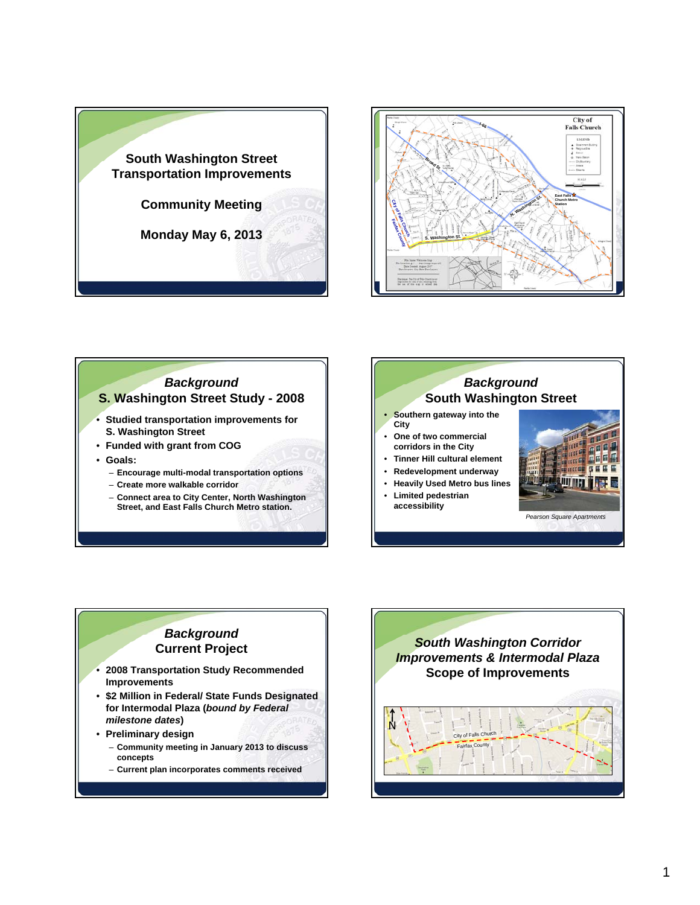







## *Background* **Current Project**

- **2008 Transportation Study Recommended Improvements**
- **\$2 Million in Federal/ State Funds Designated for Intermodal Plaza (***bound by Federal milestone dates***)**
- **Preliminary design** – **Community meeting in January 2013 to discuss concepts**
	- **Current plan incorporates comments received**

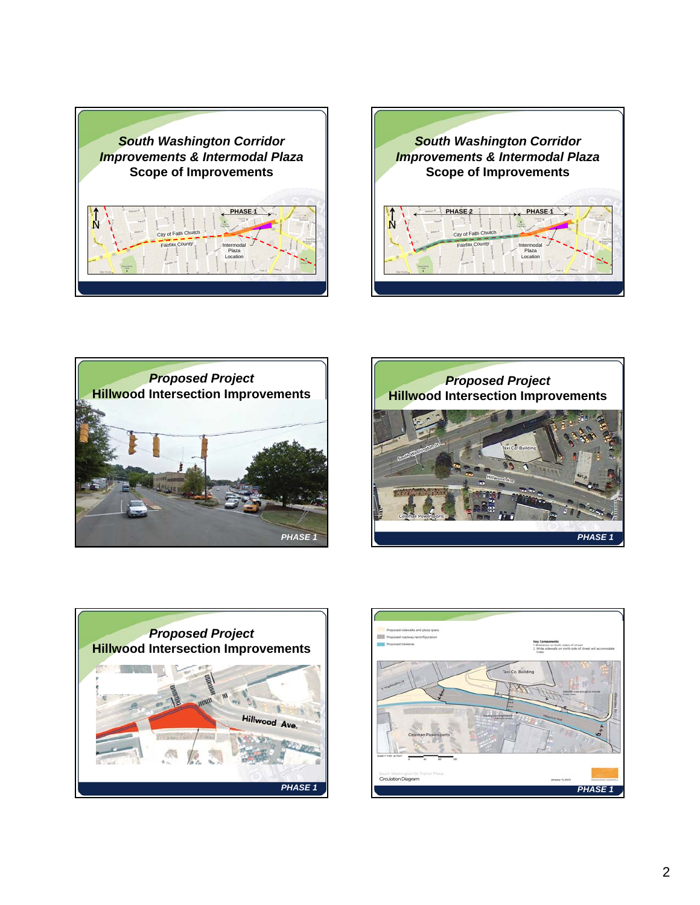









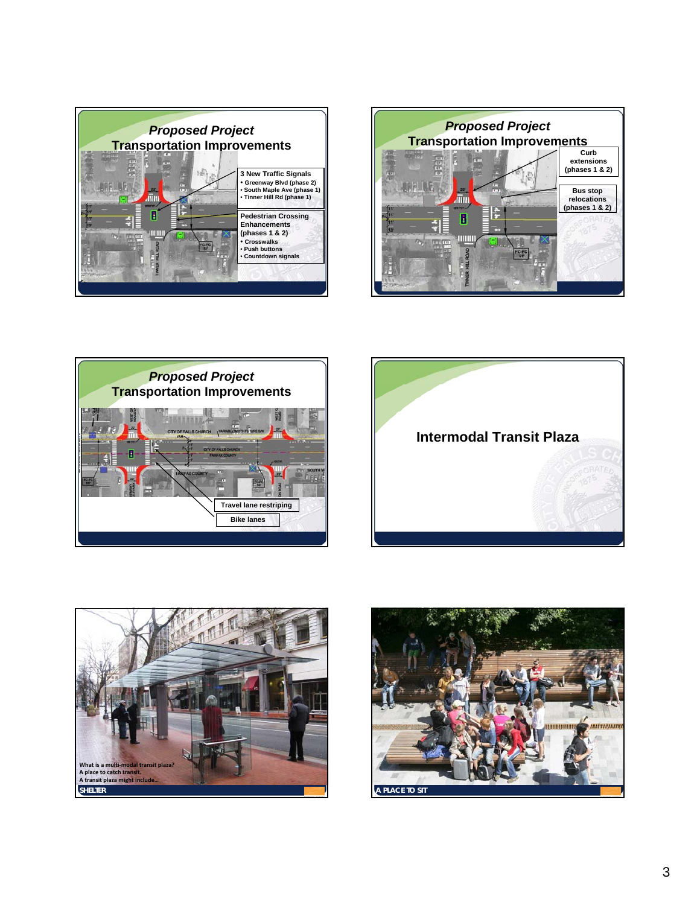









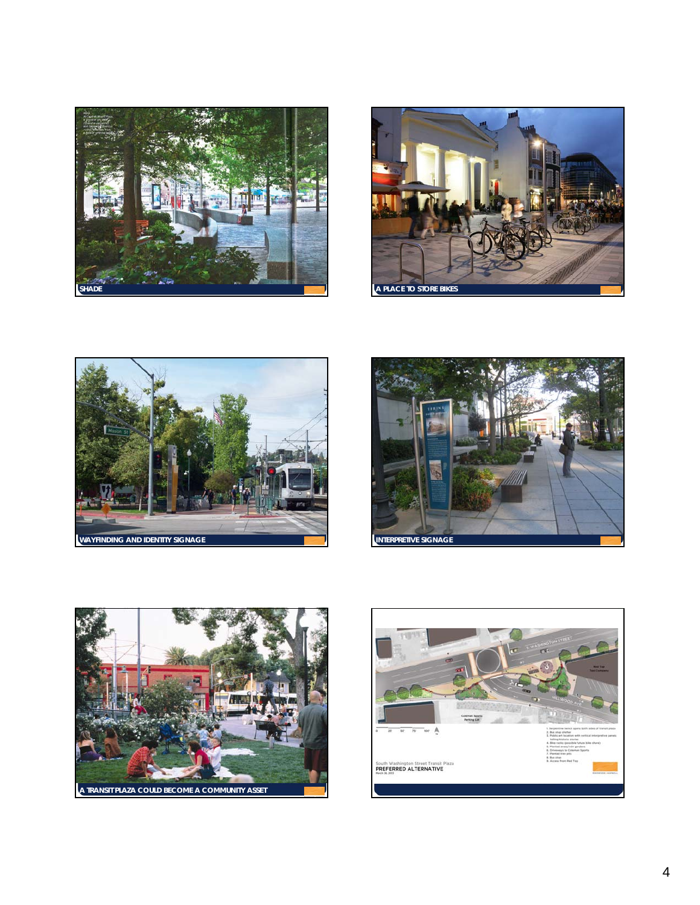









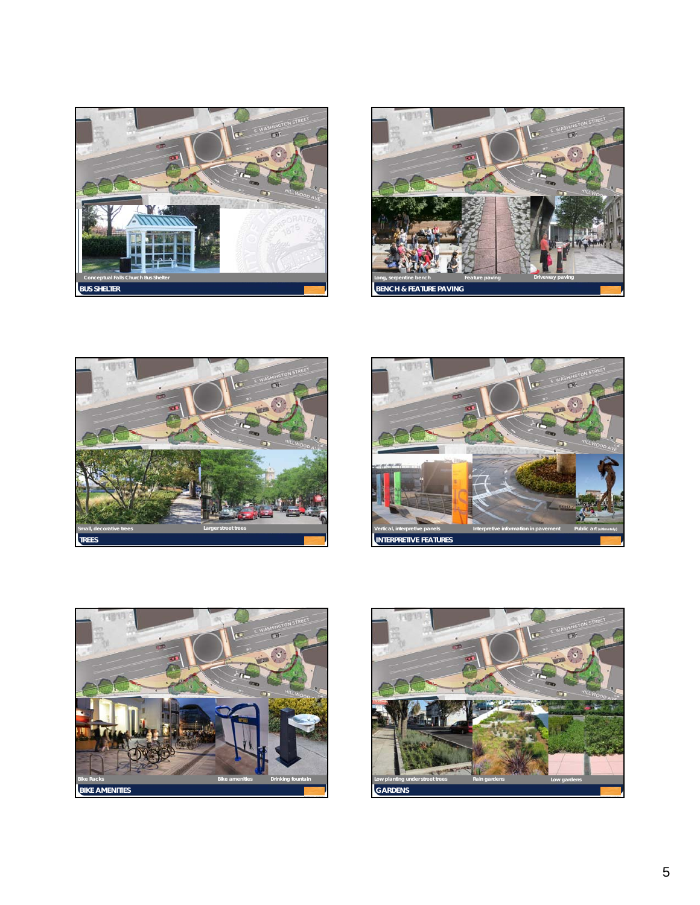